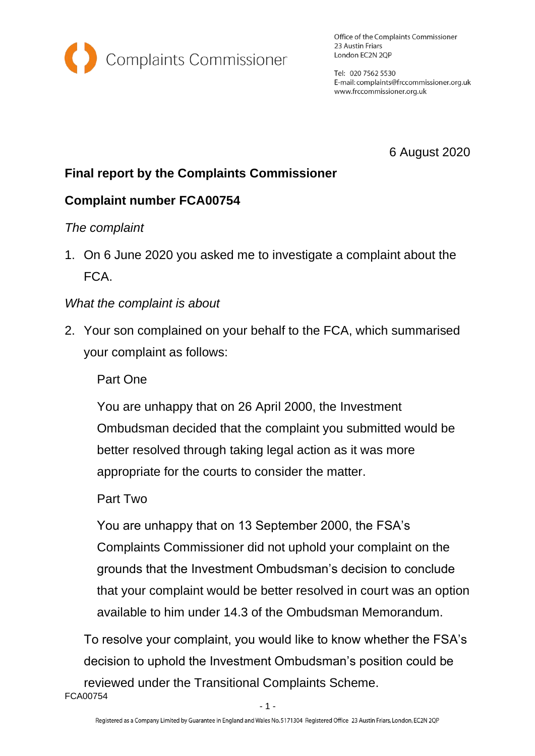

Office of the Complaints Commissioner 23 Austin Friars London EC2N 2QP

Tel: 020 7562 5530 E-mail: complaints@frccommissioner.org.uk www.frccommissioner.org.uk

6 August 2020

# **Final report by the Complaints Commissioner**

# **Complaint number FCA00754**

# *The complaint*

1. On 6 June 2020 you asked me to investigate a complaint about the FCA.

## *What the complaint is about*

2. Your son complained on your behalf to the FCA, which summarised your complaint as follows:

## Part One

You are unhappy that on 26 April 2000, the Investment Ombudsman decided that the complaint you submitted would be better resolved through taking legal action as it was more appropriate for the courts to consider the matter.

## Part Two

You are unhappy that on 13 September 2000, the FSA's Complaints Commissioner did not uphold your complaint on the grounds that the Investment Ombudsman's decision to conclude that your complaint would be better resolved in court was an option available to him under 14.3 of the Ombudsman Memorandum.

FCA00754 To resolve your complaint, you would like to know whether the FSA's decision to uphold the Investment Ombudsman's position could be reviewed under the Transitional Complaints Scheme.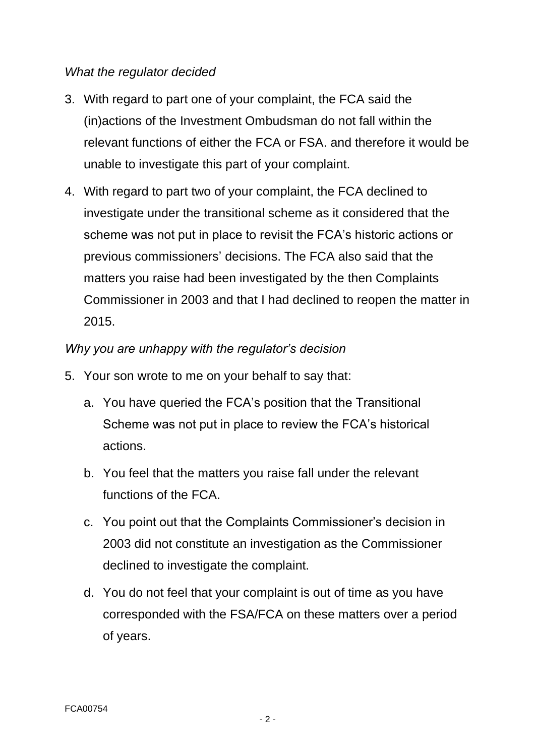#### *What the regulator decided*

- 3. With regard to part one of your complaint, the FCA said the (in)actions of the Investment Ombudsman do not fall within the relevant functions of either the FCA or FSA. and therefore it would be unable to investigate this part of your complaint.
- 4. With regard to part two of your complaint, the FCA declined to investigate under the transitional scheme as it considered that the scheme was not put in place to revisit the FCA's historic actions or previous commissioners' decisions. The FCA also said that the matters you raise had been investigated by the then Complaints Commissioner in 2003 and that I had declined to reopen the matter in 2015.

#### *Why you are unhappy with the regulator's decision*

- 5. Your son wrote to me on your behalf to say that:
	- a. You have queried the FCA's position that the Transitional Scheme was not put in place to review the FCA's historical actions.
	- b. You feel that the matters you raise fall under the relevant functions of the FCA.
	- c. You point out that the Complaints Commissioner's decision in 2003 did not constitute an investigation as the Commissioner declined to investigate the complaint.
	- d. You do not feel that your complaint is out of time as you have corresponded with the FSA/FCA on these matters over a period of years.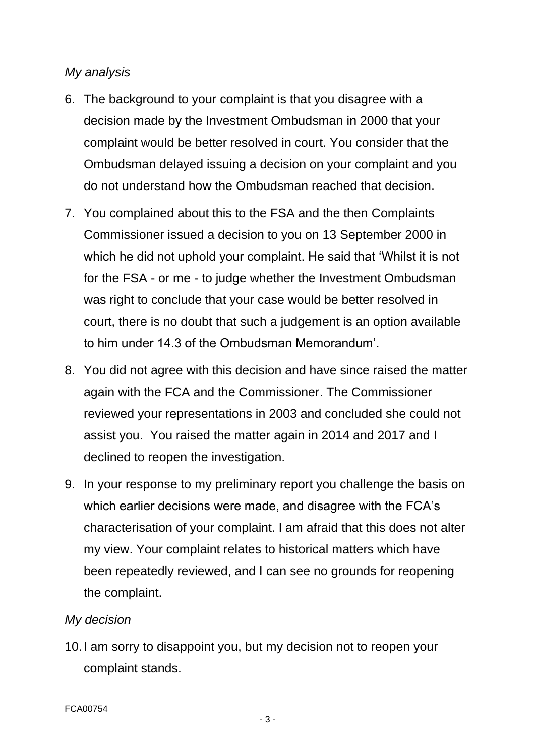#### *My analysis*

- 6. The background to your complaint is that you disagree with a decision made by the Investment Ombudsman in 2000 that your complaint would be better resolved in court. You consider that the Ombudsman delayed issuing a decision on your complaint and you do not understand how the Ombudsman reached that decision.
- 7. You complained about this to the FSA and the then Complaints Commissioner issued a decision to you on 13 September 2000 in which he did not uphold your complaint. He said that 'Whilst it is not for the FSA - or me - to judge whether the Investment Ombudsman was right to conclude that your case would be better resolved in court, there is no doubt that such a judgement is an option available to him under 14.3 of the Ombudsman Memorandum'.
- 8. You did not agree with this decision and have since raised the matter again with the FCA and the Commissioner. The Commissioner reviewed your representations in 2003 and concluded she could not assist you. You raised the matter again in 2014 and 2017 and I declined to reopen the investigation.
- 9. In your response to my preliminary report you challenge the basis on which earlier decisions were made, and disagree with the FCA's characterisation of your complaint. I am afraid that this does not alter my view. Your complaint relates to historical matters which have been repeatedly reviewed, and I can see no grounds for reopening the complaint.

#### *My decision*

10.I am sorry to disappoint you, but my decision not to reopen your complaint stands.

- 3 -